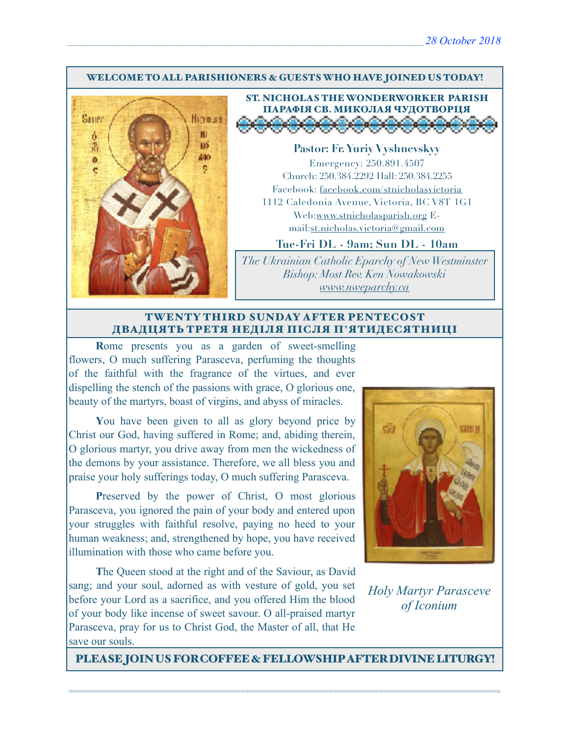#### WELCOME TO ALL PARISHIONERS & GUESTS WHO HAVE JOINED US TODAY!



# ST. NICHOLAS THE WONDERWORKER PARISH ПАРАФІЯ СВ. МИКОЛАЯ ЧУДОТВОРЦЯ

**Pastor: Fr. Yuriy Vyshnevskyy** Emergency: 250.891.4507 Church: 250.384.2292 Hall: 250.384.2255 Facebook: facebook.com/stnicholasvictoria 1112 Caledonia Avenue, Victoria, BC V8T 1G1 Web[:www.stnicholasparish.org](http://www.stnicholasparish.org) Email:[st.nicholas.victoria@gmail.com](mailto:st.nicholas.victoria@gmail.com)

**Tue-Fri DL - 9am; Sun DL - 10am**

*The Ukrainian Catholic Eparchy of New Westminster Bishop: Most Rev. Ken Nowakowski [www.nweparchy.ca](http://www.nweparchy.ca)*

#### TWENTY THIRD SUNDAY AFTER PENTECOST ДВАДЦЯТЬ ТРЕТЯ НЕДІЛЯ ПІСЛЯ П**'**ЯТИДЕСЯТНИЦІ

**R**ome presents you as a garden of sweet-smelling flowers, O much suffering Parasceva, perfuming the thoughts of the faithful with the fragrance of the virtues, and ever dispelling the stench of the passions with grace, O glorious one, beauty of the martyrs, boast of virgins, and abyss of miracles.

**Y**ou have been given to all as glory beyond price by Christ our God, having suffered in Rome; and, abiding therein, O glorious martyr, you drive away from men the wickedness of the demons by your assistance. Therefore, we all bless you and praise your holy sufferings today, O much suffering Parasceva.

**P**reserved by the power of Christ, O most glorious Parasceva, you ignored the pain of your body and entered upon your struggles with faithful resolve, paying no heed to your human weakness; and, strengthened by hope, you have received illumination with those who came before you.

**T**he Queen stood at the right and of the Saviour, as David sang; and your soul, adorned as with vesture of gold, you set before your Lord as a sacrifice, and you offered Him the blood of your body like incense of sweet savour. O all-praised martyr Parasceva, pray for us to Christ God, the Master of all, that He save our souls.



*Holy Martyr Parasceve of Iconium*

PLEASE JOIN US FOR COFFEE & FELLOWSHIP AFTER DIVINE LITURGY!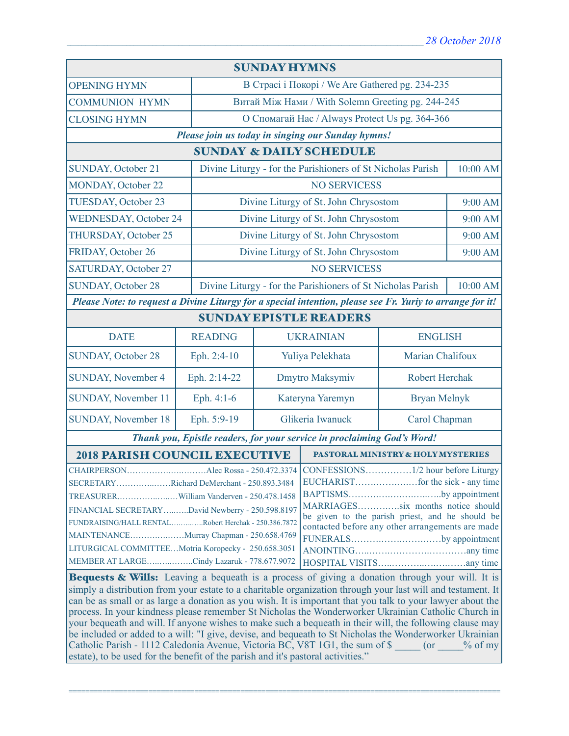| <b>SUNDAY HYMNS</b>                                                                                                                                                                                                                                                                                                                                                                                                                                                                                                                                                                                                                                                                                                                                                                                                                                                                                                                                                                                                                                                                                                                                            |                |                                                                         |                                    |                                                             |         |  |  |
|----------------------------------------------------------------------------------------------------------------------------------------------------------------------------------------------------------------------------------------------------------------------------------------------------------------------------------------------------------------------------------------------------------------------------------------------------------------------------------------------------------------------------------------------------------------------------------------------------------------------------------------------------------------------------------------------------------------------------------------------------------------------------------------------------------------------------------------------------------------------------------------------------------------------------------------------------------------------------------------------------------------------------------------------------------------------------------------------------------------------------------------------------------------|----------------|-------------------------------------------------------------------------|------------------------------------|-------------------------------------------------------------|---------|--|--|
| <b>OPENING HYMN</b>                                                                                                                                                                                                                                                                                                                                                                                                                                                                                                                                                                                                                                                                                                                                                                                                                                                                                                                                                                                                                                                                                                                                            |                | В Страсі і Покорі / We Are Gathered pg. 234-235                         |                                    |                                                             |         |  |  |
| <b>COMMUNION HYMN</b>                                                                                                                                                                                                                                                                                                                                                                                                                                                                                                                                                                                                                                                                                                                                                                                                                                                                                                                                                                                                                                                                                                                                          |                | Витай Між Нами / With Solemn Greeting pg. 244-245                       |                                    |                                                             |         |  |  |
| <b>CLOSING HYMN</b>                                                                                                                                                                                                                                                                                                                                                                                                                                                                                                                                                                                                                                                                                                                                                                                                                                                                                                                                                                                                                                                                                                                                            |                | О Спомагай Нас / Always Protect Us pg. 364-366                          |                                    |                                                             |         |  |  |
| Please join us today in singing our Sunday hymns!                                                                                                                                                                                                                                                                                                                                                                                                                                                                                                                                                                                                                                                                                                                                                                                                                                                                                                                                                                                                                                                                                                              |                |                                                                         |                                    |                                                             |         |  |  |
| <b>SUNDAY &amp; DAILY SCHEDULE</b>                                                                                                                                                                                                                                                                                                                                                                                                                                                                                                                                                                                                                                                                                                                                                                                                                                                                                                                                                                                                                                                                                                                             |                |                                                                         |                                    |                                                             |         |  |  |
| <b>SUNDAY, October 21</b>                                                                                                                                                                                                                                                                                                                                                                                                                                                                                                                                                                                                                                                                                                                                                                                                                                                                                                                                                                                                                                                                                                                                      |                |                                                                         |                                    | Divine Liturgy - for the Parishioners of St Nicholas Parish |         |  |  |
| <b>MONDAY, October 22</b>                                                                                                                                                                                                                                                                                                                                                                                                                                                                                                                                                                                                                                                                                                                                                                                                                                                                                                                                                                                                                                                                                                                                      |                | <b>NO SERVICESS</b>                                                     |                                    |                                                             |         |  |  |
| TUESDAY, October 23                                                                                                                                                                                                                                                                                                                                                                                                                                                                                                                                                                                                                                                                                                                                                                                                                                                                                                                                                                                                                                                                                                                                            |                | Divine Liturgy of St. John Chrysostom                                   |                                    |                                                             | 9:00 AM |  |  |
| <b>WEDNESDAY, October 24</b>                                                                                                                                                                                                                                                                                                                                                                                                                                                                                                                                                                                                                                                                                                                                                                                                                                                                                                                                                                                                                                                                                                                                   |                | Divine Liturgy of St. John Chrysostom                                   |                                    |                                                             | 9:00 AM |  |  |
| THURSDAY, October 25                                                                                                                                                                                                                                                                                                                                                                                                                                                                                                                                                                                                                                                                                                                                                                                                                                                                                                                                                                                                                                                                                                                                           |                | Divine Liturgy of St. John Chrysostom                                   |                                    |                                                             | 9:00 AM |  |  |
| FRIDAY, October 26                                                                                                                                                                                                                                                                                                                                                                                                                                                                                                                                                                                                                                                                                                                                                                                                                                                                                                                                                                                                                                                                                                                                             |                | Divine Liturgy of St. John Chrysostom                                   |                                    |                                                             | 9:00 AM |  |  |
| <b>SATURDAY, October 27</b>                                                                                                                                                                                                                                                                                                                                                                                                                                                                                                                                                                                                                                                                                                                                                                                                                                                                                                                                                                                                                                                                                                                                    |                | <b>NO SERVICESS</b>                                                     |                                    |                                                             |         |  |  |
| <b>SUNDAY, October 28</b>                                                                                                                                                                                                                                                                                                                                                                                                                                                                                                                                                                                                                                                                                                                                                                                                                                                                                                                                                                                                                                                                                                                                      |                | Divine Liturgy - for the Parishioners of St Nicholas Parish<br>10:00 AM |                                    |                                                             |         |  |  |
| Please Note: to request a Divine Liturgy for a special intention, please see Fr. Yuriy to arrange for it!                                                                                                                                                                                                                                                                                                                                                                                                                                                                                                                                                                                                                                                                                                                                                                                                                                                                                                                                                                                                                                                      |                |                                                                         |                                    |                                                             |         |  |  |
| <b>SUNDAY EPISTLE READERS</b>                                                                                                                                                                                                                                                                                                                                                                                                                                                                                                                                                                                                                                                                                                                                                                                                                                                                                                                                                                                                                                                                                                                                  |                |                                                                         |                                    |                                                             |         |  |  |
| <b>DATE</b>                                                                                                                                                                                                                                                                                                                                                                                                                                                                                                                                                                                                                                                                                                                                                                                                                                                                                                                                                                                                                                                                                                                                                    | <b>READING</b> |                                                                         | <b>UKRAINIAN</b>                   | <b>ENGLISH</b>                                              |         |  |  |
| <b>SUNDAY, October 28</b>                                                                                                                                                                                                                                                                                                                                                                                                                                                                                                                                                                                                                                                                                                                                                                                                                                                                                                                                                                                                                                                                                                                                      | Eph. 2:4-10    | Marian Chalifoux<br>Yuliya Pelekhata                                    |                                    |                                                             |         |  |  |
| <b>SUNDAY, November 4</b>                                                                                                                                                                                                                                                                                                                                                                                                                                                                                                                                                                                                                                                                                                                                                                                                                                                                                                                                                                                                                                                                                                                                      | Eph. 2:14-22   | Robert Herchak<br>Dmytro Maksymiv                                       |                                    |                                                             |         |  |  |
| <b>SUNDAY, November 11</b>                                                                                                                                                                                                                                                                                                                                                                                                                                                                                                                                                                                                                                                                                                                                                                                                                                                                                                                                                                                                                                                                                                                                     | Eph. 4:1-6     | Kateryna Yaremyn<br><b>Bryan Melnyk</b>                                 |                                    |                                                             |         |  |  |
| <b>SUNDAY, November 18</b>                                                                                                                                                                                                                                                                                                                                                                                                                                                                                                                                                                                                                                                                                                                                                                                                                                                                                                                                                                                                                                                                                                                                     | Eph. 5:9-19    | Glikeria Iwanuck<br>Carol Chapman                                       |                                    |                                                             |         |  |  |
| Thank you, Epistle readers, for your service in proclaiming God's Word!                                                                                                                                                                                                                                                                                                                                                                                                                                                                                                                                                                                                                                                                                                                                                                                                                                                                                                                                                                                                                                                                                        |                |                                                                         |                                    |                                                             |         |  |  |
| <b>2018 PARISH COUNCIL EXECUTIVE</b>                                                                                                                                                                                                                                                                                                                                                                                                                                                                                                                                                                                                                                                                                                                                                                                                                                                                                                                                                                                                                                                                                                                           |                |                                                                         | PASTORAL MINISTRY & HOLY MYSTERIES |                                                             |         |  |  |
| Alec Rossa - 250.472.3374 CONFESSIONS<br>$.1/2$ hour before Liturgy<br>CHAIRPERSON.<br>SECRETARYRichard DeMerchant - 250.893.3484<br>BAPTISMSby appointment<br>MARRIAGESsix months notice should<br>FINANCIAL SECRETARYDavid Newberry - 250.598.8197<br>be given to the parish priest, and he should be<br>FUNDRAISING/HALL RENTALRobert Herchak - 250.386.7872<br>contacted before any other arrangements are made<br>MAINTENANCEMurray Chapman - 250.658.4769<br>FUNERALSby appointment<br>LITURGICAL COMMITTEEMotria Koropecky - 250.658.3051<br>MEMBER AT LARGECindy Lazaruk - 778.677.9072<br><b>Bequests &amp; Wills:</b> Leaving a bequeath is a process of giving a donation through your will. It is<br>simply a distribution from your estate to a charitable organization through your last will and testament. It<br>can be as small or as large a donation as you wish. It is important that you talk to your lawyer about the<br>process. In your kindness please remember St Nicholas the Wonderworker Ukrainian Catholic Church in<br>your bequeath and will. If anyone wishes to make such a bequeath in their will, the following clause may |                |                                                                         |                                    |                                                             |         |  |  |
| be included or added to a will: "I give, devise, and bequeath to St Nicholas the Wonderworker Ukrainian<br>Catholic Parish - 1112 Caledonia Avenue, Victoria BC, V8T 1G1, the sum of \$<br>$%$ of my<br>$($ or                                                                                                                                                                                                                                                                                                                                                                                                                                                                                                                                                                                                                                                                                                                                                                                                                                                                                                                                                 |                |                                                                         |                                    |                                                             |         |  |  |

=======================================================================================================

estate), to be used for the benefit of the parish and it's pastoral activities."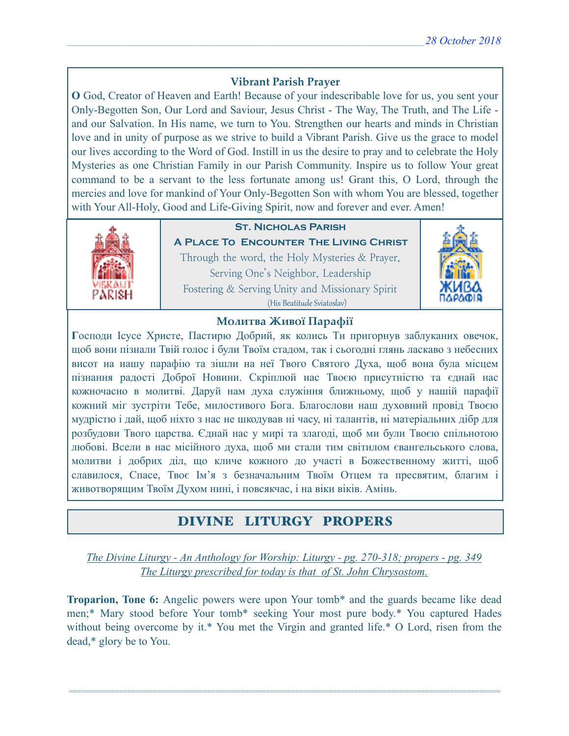## **Vibrant Parish Prayer**

**O** God, Creator of Heaven and Earth! Because of your indescribable love for us, you sent your Only-Begotten Son, Our Lord and Saviour, Jesus Christ - The Way, The Truth, and The Life and our Salvation. In His name, we turn to You. Strengthen our hearts and minds in Christian love and in unity of purpose as we strive to build a Vibrant Parish. Give us the grace to model our lives according to the Word of God. Instill in us the desire to pray and to celebrate the Holy Mysteries as one Christian Family in our Parish Community. Inspire us to follow Your great command to be a servant to the less fortunate among us! Grant this, O Lord, through the mercies and love for mankind of Your Only-Begotten Son with whom You are blessed, together with Your All-Holy, Good and Life-Giving Spirit, now and forever and ever. Amen!



### **St. Nicholas Parish**

**A Place To Encounter The Living Christ** Through the word, the Holy Mysteries & Prayer, Serving One's Neighbor, Leadership Fostering & Serving Unity and Missionary Spirit (His Beatitude Sviatoslav)



#### **Молитва Живої Парафії**

**Г**осподи Ісусе Христе, Пастирю Добрий, як колись Ти пригорнув заблуканих овечок, щоб вони пізнали Твій голос і були Твоїм стадом, так і сьогодні глянь ласкаво з небесних висот на нашу парафію та зішли на неї Твого Святого Духа, щоб вона була місцем пізнання радості Доброї Новини. Скріплюй нас Твоєю присутністю та єднай нас кожночасно в молитві. Даруй нам духа служіння ближньому, щоб у нашій парафії кожний міг зустріти Тебе, милостивого Бога. Благослови наш духовний провід Твоєю мудрістю і дай, щоб ніхто з нас не шкодував ні часу, ні талантів, ні матеріальних дібр для розбудови Твого царства. Єднай нас у мирі та злагоді, щоб ми були Твоєю спільнотою любові. Всели в нас місійного духа, щоб ми стали тим світилом євангельського слова, молитви і добрих діл, що кличе кожного до участі в Божественному житті, щоб славилося, Спасе, Твоє Ім'я з безначальним Твоїм Отцем та пресвятим, благим і животворящим Твоїм Духом нині, і повсякчас, і на віки віків. Амінь.

## DIVINE LITURGY PROPERS

*The Divine Liturgy - An Anthology for Worship: Liturgy - pg. 270-318; propers - pg. 349 The Liturgy prescribed for today is that of St. John Chrysostom.* 

**Troparion, Tone 6:** Angelic powers were upon Your tomb<sup>\*</sup> and the guards became like dead men;\* Mary stood before Your tomb\* seeking Your most pure body.\* You captured Hades without being overcome by it.\* You met the Virgin and granted life.\* O Lord, risen from the dead,\* glory be to You.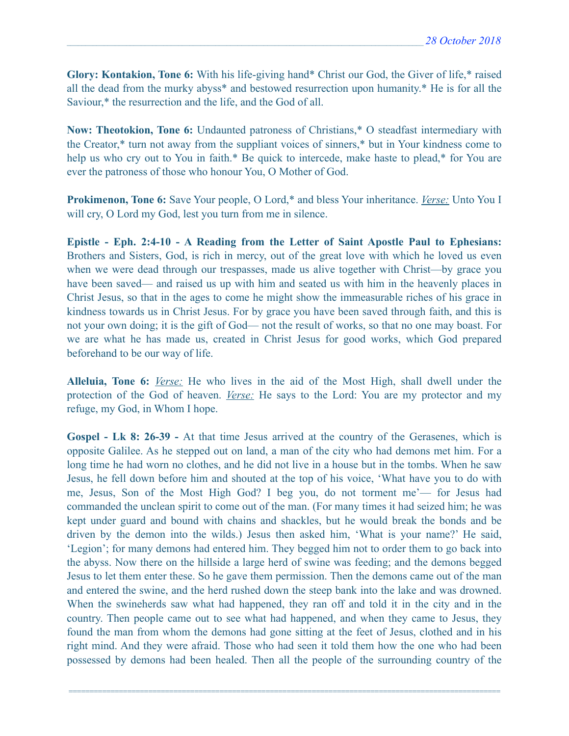**Glory: Kontakion, Tone 6:** With his life-giving hand\* Christ our God, the Giver of life,\* raised all the dead from the murky abyss\* and bestowed resurrection upon humanity.\* He is for all the Saviour,\* the resurrection and the life, and the God of all.

**Now: Theotokion, Tone 6:** Undaunted patroness of Christians,\* O steadfast intermediary with the Creator,\* turn not away from the suppliant voices of sinners,\* but in Your kindness come to help us who cry out to You in faith.\* Be quick to intercede, make haste to plead,\* for You are ever the patroness of those who honour You, O Mother of God.

**Prokimenon, Tone 6:** Save Your people, O Lord,\* and bless Your inheritance. *Verse:* Unto You I will cry, O Lord my God, lest you turn from me in silence.

**Epistle - Eph. 2:4-10 - A Reading from the Letter of Saint Apostle Paul to Ephesians:** Brothers and Sisters, God, is rich in mercy, out of the great love with which he loved us even when we were dead through our trespasses, made us alive together with Christ—by grace you have been saved— and raised us up with him and seated us with him in the heavenly places in Christ Jesus, so that in the ages to come he might show the immeasurable riches of his grace in kindness towards us in Christ Jesus. For by grace you have been saved through faith, and this is not your own doing; it is the gift of God— not the result of works, so that no one may boast. For we are what he has made us, created in Christ Jesus for good works, which God prepared beforehand to be our way of life.

**Alleluia, Tone 6:** *Verse:* He who lives in the aid of the Most High, shall dwell under the protection of the God of heaven. *Verse:* He says to the Lord: You are my protector and my refuge, my God, in Whom I hope.

**Gospel - Lk 8: 26-39 -** At that time Jesus arrived at the country of the Gerasenes, which is opposite Galilee. As he stepped out on land, a man of the city who had demons met him. For a long time he had worn no clothes, and he did not live in a house but in the tombs. When he saw Jesus, he fell down before him and shouted at the top of his voice, 'What have you to do with me, Jesus, Son of the Most High God? I beg you, do not torment me'— for Jesus had commanded the unclean spirit to come out of the man. (For many times it had seized him; he was kept under guard and bound with chains and shackles, but he would break the bonds and be driven by the demon into the wilds.) Jesus then asked him, 'What is your name?' He said, 'Legion'; for many demons had entered him. They begged him not to order them to go back into the abyss. Now there on the hillside a large herd of swine was feeding; and the demons begged Jesus to let them enter these. So he gave them permission. Then the demons came out of the man and entered the swine, and the herd rushed down the steep bank into the lake and was drowned. When the swineherds saw what had happened, they ran off and told it in the city and in the country. Then people came out to see what had happened, and when they came to Jesus, they found the man from whom the demons had gone sitting at the feet of Jesus, clothed and in his right mind. And they were afraid. Those who had seen it told them how the one who had been possessed by demons had been healed. Then all the people of the surrounding country of the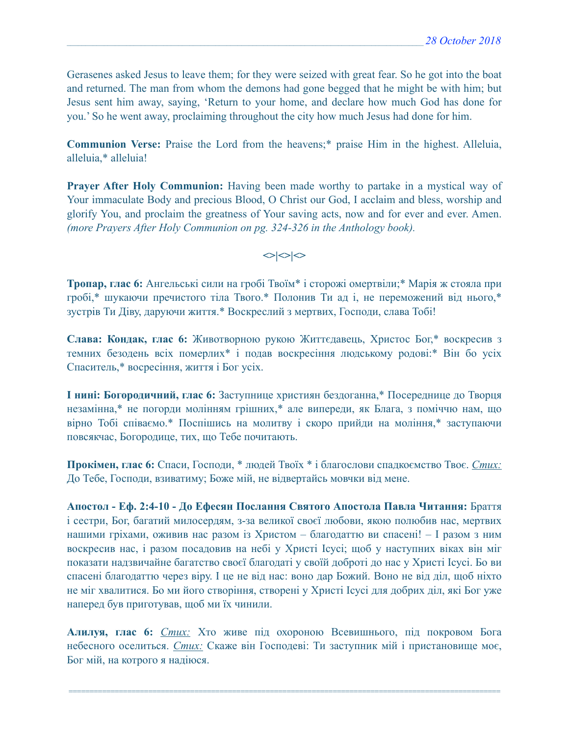Gerasenes asked Jesus to leave them; for they were seized with great fear. So he got into the boat and returned. The man from whom the demons had gone begged that he might be with him; but Jesus sent him away, saying, 'Return to your home, and declare how much God has done for you.' So he went away, proclaiming throughout the city how much Jesus had done for him.

**Communion Verse:** Praise the Lord from the heavens;\* praise Him in the highest. Alleluia, alleluia,\* alleluia!

**Prayer After Holy Communion:** Having been made worthy to partake in a mystical way of Your immaculate Body and precious Blood, O Christ our God, I acclaim and bless, worship and glorify You, and proclaim the greatness of Your saving acts, now and for ever and ever. Amen. *(more Prayers After Holy Communion on pg. 324-326 in the Anthology book).* 

 $\left| \diamond \right| \diamond \left| \diamond \right|$ 

**Тропар, глас 6:** Ангельські сили на гробі Твоїм\* і сторожі омертвіли;\* Марія ж стояла при гробі,\* шукаючи пречистого тіла Твого.\* Полонив Ти ад і, не переможений від нього,\* зустрів Ти Діву, даруючи життя.\* Воскреслий з мертвих, Господи, слава Тобі!

**Слава: Кондак, глас 6:** Животворною рукою Життєдавець, Христос Бог,\* воскресив з темних безодень всіх померлих\* і подав воскресіння людському родові:\* Він бо усіх Спаситель,\* восресіння, життя і Бог усіх.

**І нині: Богородичний, глас 6:** Заступнице християн бездоганна,\* Посереднице до Творця незамінна,\* не погорди молінням грішних,\* але випереди, як Блага, з поміччю нам, що вірно Тобі співаємо.\* Поспішись на молитву і скоро прийди на моління,\* заступаючи повсякчас, Богородице, тих, що Тебе почитають.

**Прокімен, глас 6:** Спаси, Господи, \* людей Твоїх \* і благослови спадкоємство Твоє. *Стих:* До Тебе, Господи, взиватиму; Боже мій, не відвертайсь мовчки від мене.

**Апостол - Еф. 2:4-10 - До Ефесян Послання Святого Апостола Павла Читання:** Браття і сестри, Бог, багатий милосердям, з-за великої своєї любови, якою полюбив нас, мертвих нашими гріхами, оживив нас разом із Христом – благодаттю ви спасені! – І разом з ним воскресив нас, і разом посадовив на небі у Христі Ісусі; щоб у наступних віках він міг показати надзвичайне багатство своєї благодаті у своїй доброті до нас у Христі Ісусі. Бо ви спасені благодаттю через віру. І це не від нас: воно дар Божий. Воно не від діл, щоб ніхто не міг хвалитися. Бо ми його створіння, створені у Христі Ісусі для добрих діл, які Бог уже наперед був приготував, щоб ми їх чинили.

**Алилуя, глас 6:** *Стих:* Хто живе під охороною Всевишнього, під покровом Бога небесного оселиться. *Стих:* Скаже він Господеві: Ти заступник мій і пристановище моє, Бог мій, на котрого я надіюся.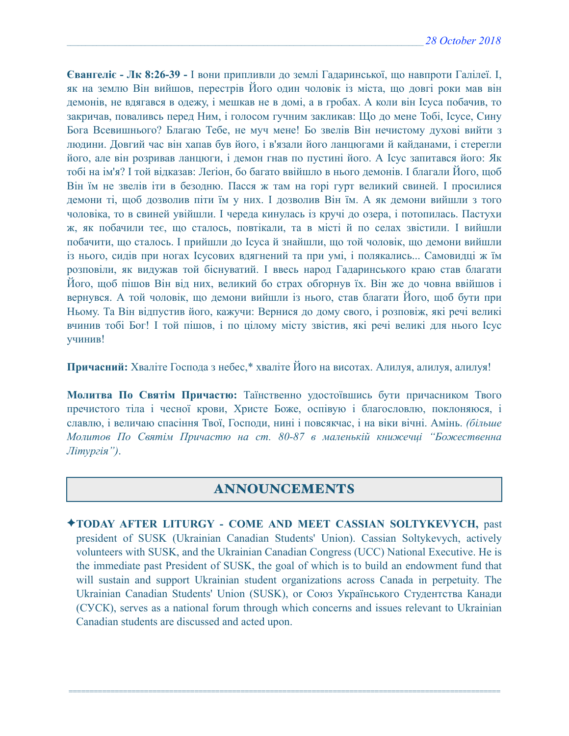**Євангеліє - Лк 8:26-39 -** І вони припливли до землі Гадаринської, що навпроти Галілеї. І, як на землю Він вийшов, перестрів Його один чоловік із міста, що довгі роки мав він демонів, не вдягався в одежу, і мешкав не в домі, а в гробах. А коли він Ісуса побачив, то закричав, поваливсь перед Ним, і голосом гучним закликав: Що до мене Тобі, Ісусе, Сину Бога Всевишнього? Благаю Тебе, не муч мене! Бо звелів Він нечистому духові вийти з людини. Довгий час він хапав був його, і в'язали його ланцюгами й кайданами, і стерегли його, але він розривав ланцюги, і демон гнав по пустині його. А Ісус запитався його: Як тобі на ім'я? І той відказав: Леґіон, бо багато ввійшло в нього демонів. І благали Його, щоб Він їм не звелів іти в безодню. Пасся ж там на горі гурт великий свиней. І просилися демони ті, щоб дозволив піти їм у них. І дозволив Він їм. А як демони вийшли з того чоловіка, то в свиней увійшли. І череда кинулась із кручі до озера, і потопилась. Пастухи ж, як побачили теє, що сталось, повтікали, та в місті й по селах звістили. І вийшли побачити, що сталось. І прийшли до Ісуса й знайшли, що той чоловік, що демони вийшли із нього, сидів при ногах Ісусових вдягнений та при умі, і полякались... Самовидці ж їм розповіли, як видужав той біснуватий. І ввесь народ Гадаринського краю став благати Його, щоб пішов Він від них, великий бо страх обгорнув їх. Він же до човна ввійшов і вернувся. А той чоловік, що демони вийшли із нього, став благати Його, щоб бути при Ньому. Та Він відпустив його, кажучи: Вернися до дому свого, і розповіж, які речі великі вчинив тобі Бог! І той пішов, і по цілому місту звістив, які речі великі для нього Ісус учинив!

**Причасний:** Хваліте Господа з небес,\* хваліте Його на висотах. Алилуя, алилуя, алилуя!

**Молитва По Святім Причастю:** Таїнственно удостоївшись бути причасником Твого пречистого тіла і чесної крови, Христе Боже, оспівую і благословлю, поклоняюся, і славлю, і величаю спасіння Твої, Господи, нині і повсякчас, і на віки вічні. Амінь. *(більше Молитов По Святім Причастю на ст. 80-87 в маленькій книжечці "Божественна Літургія")*.

## ANNOUNCEMENTS

✦**TODAY AFTER LITURGY - COME AND MEET CASSIAN SOLTYKEVYCH,** past president of SUSK (Ukrainian Canadian Students' Union). Cassian Soltykevych, actively volunteers with SUSK, and the Ukrainian Canadian Congress (UCC) National Executive. He is the immediate past President of SUSK, the goal of which is to build an endowment fund that will sustain and support Ukrainian student organizations across Canada in perpetuity. The Ukrainian Canadian Students' Union (SUSK), or Союз Українського Студентства Канади (СУСК), serves as a national forum through which concerns and issues relevant to Ukrainian Canadian students are discussed and acted upon.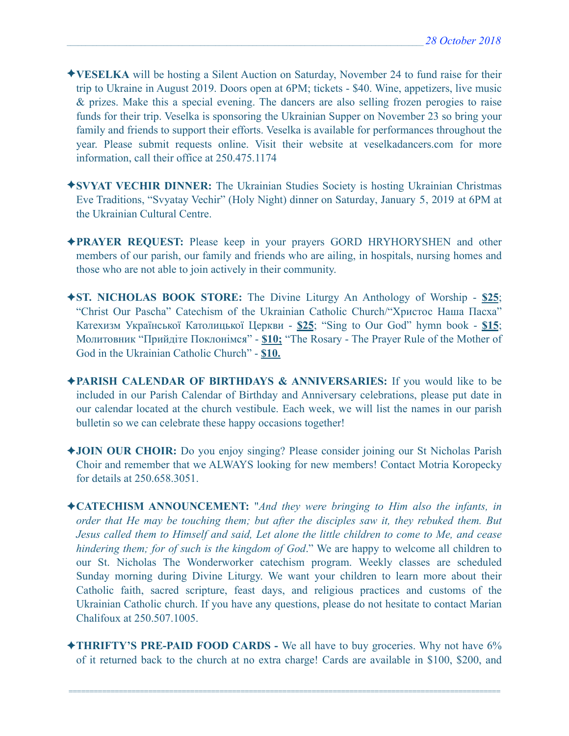- ✦**VESELKA** will be hosting a Silent Auction on Saturday, November 24 to fund raise for their trip to Ukraine in August 2019. Doors open at 6PM; tickets - \$40. Wine, appetizers, live music & prizes. Make this a special evening. The dancers are also selling frozen perogies to raise funds for their trip. Veselka is sponsoring the Ukrainian Supper on November 23 so bring your family and friends to support their efforts. Veselka is available for performances throughout the year. Please submit requests online. Visit their website at veselkadancers.com for more information, call their office at 250.475.1174
- ✦**SVYAT VECHIR DINNER:** The Ukrainian Studies Society is hosting Ukrainian Christmas Eve Traditions, "Svyatay Vechir" (Holy Night) dinner on Saturday, January 5, 2019 at 6PM at the Ukrainian Cultural Centre.
- ✦**PRAYER REQUEST:** Please keep in your prayers GORD HRYHORYSHEN and other members of our parish, our family and friends who are ailing, in hospitals, nursing homes and those who are not able to join actively in their community.
- ✦**ST. NICHOLAS BOOK STORE:** The Divine Liturgy An Anthology of Worship **\$25**; "Christ Our Pascha" Catechism of the Ukrainian Catholic Church/"Христос Наша Пасха" Катехизм Української Католицької Церкви - **\$25**; "Sing to Our God" hymn book - **\$15**; Молитовник "Прийдіте Поклонімся" - **\$10;** "The Rosary - The Prayer Rule of the Mother of God in the Ukrainian Catholic Church" - **\$10.**
- ✦**PARISH CALENDAR OF BIRTHDAYS & ANNIVERSARIES:** If you would like to be included in our Parish Calendar of Birthday and Anniversary celebrations, please put date in our calendar located at the church vestibule. Each week, we will list the names in our parish bulletin so we can celebrate these happy occasions together!
- ✦**JOIN OUR CHOIR:** Do you enjoy singing? Please consider joining our St Nicholas Parish Choir and remember that we ALWAYS looking for new members! Contact Motria Koropecky for details at 250.658.3051.
- ✦**CATECHISM ANNOUNCEMENT:** "*And they were bringing to Him also the infants, in order that He may be touching them; but after the disciples saw it, they rebuked them. But Jesus called them to Himself and said, Let alone the little children to come to Me, and cease hindering them; for of such is the kingdom of God*." We are happy to welcome all children to our St. Nicholas The Wonderworker catechism program. Weekly classes are scheduled Sunday morning during Divine Liturgy. We want your children to learn more about their Catholic faith, sacred scripture, feast days, and religious practices and customs of the Ukrainian Catholic church. If you have any questions, please do not hesitate to contact Marian Chalifoux at 250.507.1005.
- ✦**THRIFTY'S PRE-PAID FOOD CARDS** We all have to buy groceries. Why not have 6% of it returned back to the church at no extra charge! Cards are available in \$100, \$200, and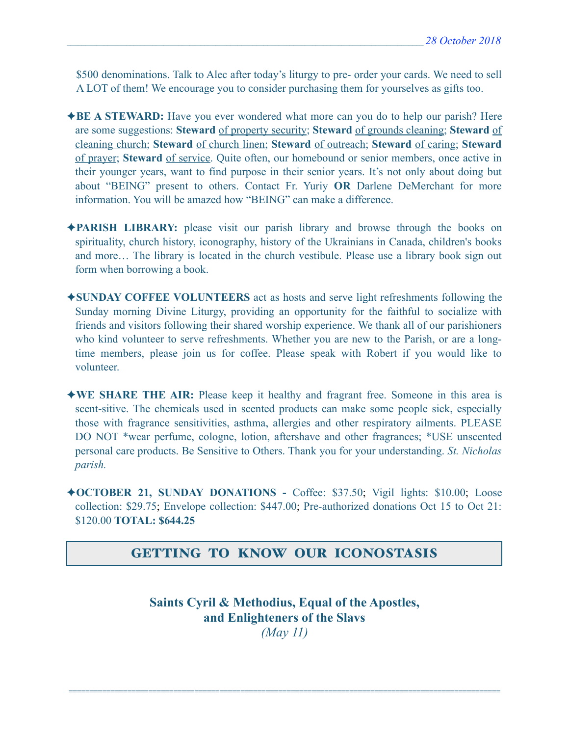\$500 denominations. Talk to Alec after today's liturgy to pre- order your cards. We need to sell A LOT of them! We encourage you to consider purchasing them for yourselves as gifts too.

- ✦**BE A STEWARD:** Have you ever wondered what more can you do to help our parish? Here are some suggestions: **Steward** of property security; **Steward** of grounds cleaning; **Steward** of cleaning church; **Steward** of church linen; **Steward** of outreach; **Steward** of caring; **Steward** of prayer; **Steward** of service. Quite often, our homebound or senior members, once active in their younger years, want to find purpose in their senior years. It's not only about doing but about "BEING" present to others. Contact Fr. Yuriy **OR** Darlene DeMerchant for more information. You will be amazed how "BEING" can make a difference.
- ✦**PARISH LIBRARY:** please visit our parish library and browse through the books on spirituality, church history, iconography, history of the Ukrainians in Canada, children's books and more… The library is located in the church vestibule. Please use a library book sign out form when borrowing a book.
- ✦**SUNDAY COFFEE VOLUNTEERS** act as hosts and serve light refreshments following the Sunday morning Divine Liturgy, providing an opportunity for the faithful to socialize with friends and visitors following their shared worship experience. We thank all of our parishioners who kind volunteer to serve refreshments. Whether you are new to the Parish, or are a longtime members, please join us for coffee. Please speak with Robert if you would like to volunteer.
- ✦**WE SHARE THE AIR:** Please keep it healthy and fragrant free. Someone in this area is scent-sitive. The chemicals used in scented products can make some people sick, especially those with fragrance sensitivities, asthma, allergies and other respiratory ailments. PLEASE DO NOT \*wear perfume, cologne, lotion, aftershave and other fragrances; \*USE unscented personal care products. Be Sensitive to Others. Thank you for your understanding. *St. Nicholas parish.*
- ✦**OCTOBER 21, SUNDAY DONATIONS** Coffee: \$37.50; Vigil lights: \$10.00; Loose collection: \$29.75; Envelope collection: \$447.00; Pre-authorized donations Oct 15 to Oct 21: \$120.00 **TOTAL: \$644.25**

## GETTING TO KNOW OUR ICONOSTASIS

**Saints Cyril & Methodius, Equal of the Apostles, and Enlighteners of the Slavs**  *(May 11)*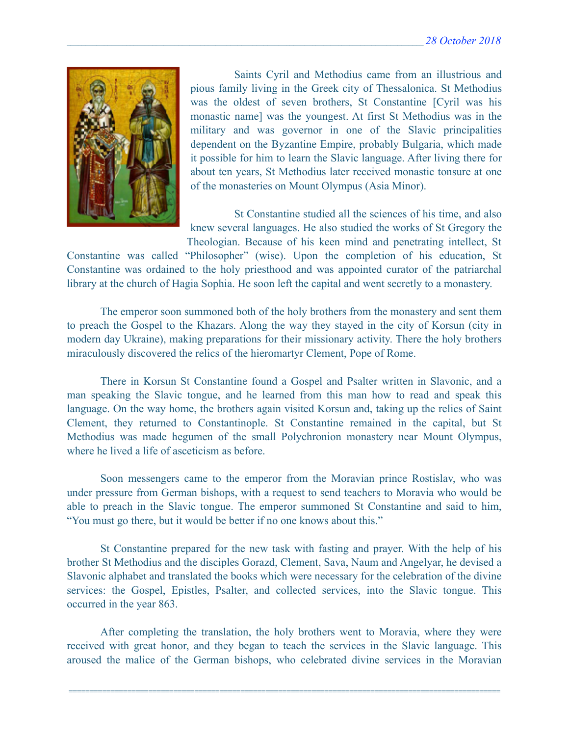

 Saints Cyril and Methodius came from an illustrious and pious family living in the Greek city of Thessalonica. St Methodius was the oldest of seven brothers, St Constantine [Cyril was his monastic name] was the youngest. At first St Methodius was in the military and was governor in one of the Slavic principalities dependent on the Byzantine Empire, probably Bulgaria, which made it possible for him to learn the Slavic language. After living there for about ten years, St Methodius later received monastic tonsure at one of the monasteries on Mount Olympus (Asia Minor).

 St Constantine studied all the sciences of his time, and also knew several languages. He also studied the works of St Gregory the Theologian. Because of his keen mind and penetrating intellect, St

Constantine was called "Philosopher" (wise). Upon the completion of his education, St Constantine was ordained to the holy priesthood and was appointed curator of the patriarchal library at the church of Hagia Sophia. He soon left the capital and went secretly to a monastery.

The emperor soon summoned both of the holy brothers from the monastery and sent them to preach the Gospel to the Khazars. Along the way they stayed in the city of Korsun (city in modern day Ukraine), making preparations for their missionary activity. There the holy brothers miraculously discovered the relics of the hieromartyr Clement, Pope of Rome.

There in Korsun St Constantine found a Gospel and Psalter written in Slavonic, and a man speaking the Slavic tongue, and he learned from this man how to read and speak this language. On the way home, the brothers again visited Korsun and, taking up the relics of Saint Clement, they returned to Constantinople. St Constantine remained in the capital, but St Methodius was made hegumen of the small Polychronion monastery near Mount Olympus, where he lived a life of asceticism as before.

Soon messengers came to the emperor from the Moravian prince Rostislav, who was under pressure from German bishops, with a request to send teachers to Moravia who would be able to preach in the Slavic tongue. The emperor summoned St Constantine and said to him, "You must go there, but it would be better if no one knows about this."

St Constantine prepared for the new task with fasting and prayer. With the help of his brother St Methodius and the disciples Gorazd, Clement, Sava, Naum and Angelyar, he devised a Slavonic alphabet and translated the books which were necessary for the celebration of the divine services: the Gospel, Epistles, Psalter, and collected services, into the Slavic tongue. This occurred in the year 863.

After completing the translation, the holy brothers went to Moravia, where they were received with great honor, and they began to teach the services in the Slavic language. This aroused the malice of the German bishops, who celebrated divine services in the Moravian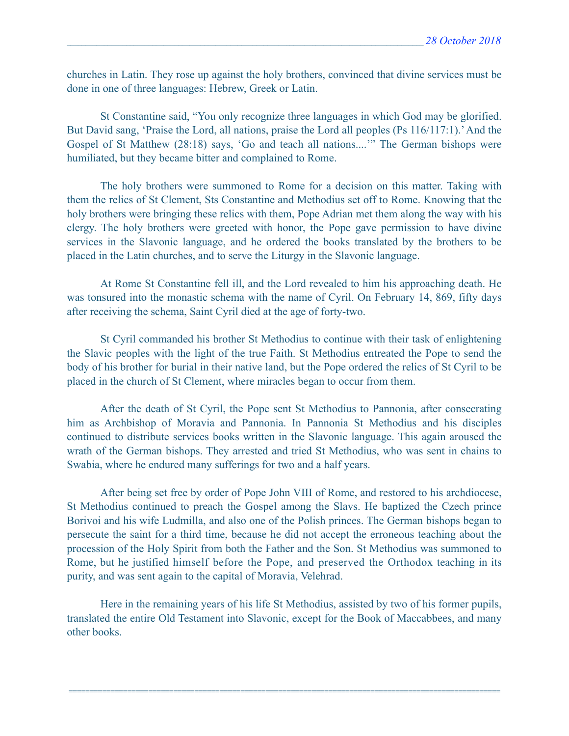churches in Latin. They rose up against the holy brothers, convinced that divine services must be done in one of three languages: Hebrew, Greek or Latin.

St Constantine said, "You only recognize three languages in which God may be glorified. But David sang, 'Praise the Lord, all nations, praise the Lord all peoples (Ps 116/117:1).' And the Gospel of St Matthew (28:18) says, 'Go and teach all nations....'" The German bishops were humiliated, but they became bitter and complained to Rome.

The holy brothers were summoned to Rome for a decision on this matter. Taking with them the relics of St Clement, Sts Constantine and Methodius set off to Rome. Knowing that the holy brothers were bringing these relics with them, Pope Adrian met them along the way with his clergy. The holy brothers were greeted with honor, the Pope gave permission to have divine services in the Slavonic language, and he ordered the books translated by the brothers to be placed in the Latin churches, and to serve the Liturgy in the Slavonic language.

At Rome St Constantine fell ill, and the Lord revealed to him his approaching death. He was tonsured into the monastic schema with the name of Cyril. On February 14, 869, fifty days after receiving the schema, Saint Cyril died at the age of forty-two.

St Cyril commanded his brother St Methodius to continue with their task of enlightening the Slavic peoples with the light of the true Faith. St Methodius entreated the Pope to send the body of his brother for burial in their native land, but the Pope ordered the relics of St Cyril to be placed in the church of St Clement, where miracles began to occur from them.

After the death of St Cyril, the Pope sent St Methodius to Pannonia, after consecrating him as Archbishop of Moravia and Pannonia. In Pannonia St Methodius and his disciples continued to distribute services books written in the Slavonic language. This again aroused the wrath of the German bishops. They arrested and tried St Methodius, who was sent in chains to Swabia, where he endured many sufferings for two and a half years.

After being set free by order of Pope John VIII of Rome, and restored to his archdiocese, St Methodius continued to preach the Gospel among the Slavs. He baptized the Czech prince Borivoi and his wife Ludmilla, and also one of the Polish princes. The German bishops began to persecute the saint for a third time, because he did not accept the erroneous teaching about the procession of the Holy Spirit from both the Father and the Son. St Methodius was summoned to Rome, but he justified himself before the Pope, and preserved the Orthodox teaching in its purity, and was sent again to the capital of Moravia, Velehrad.

Here in the remaining years of his life St Methodius, assisted by two of his former pupils, translated the entire Old Testament into Slavonic, except for the Book of Maccabbees, and many other books.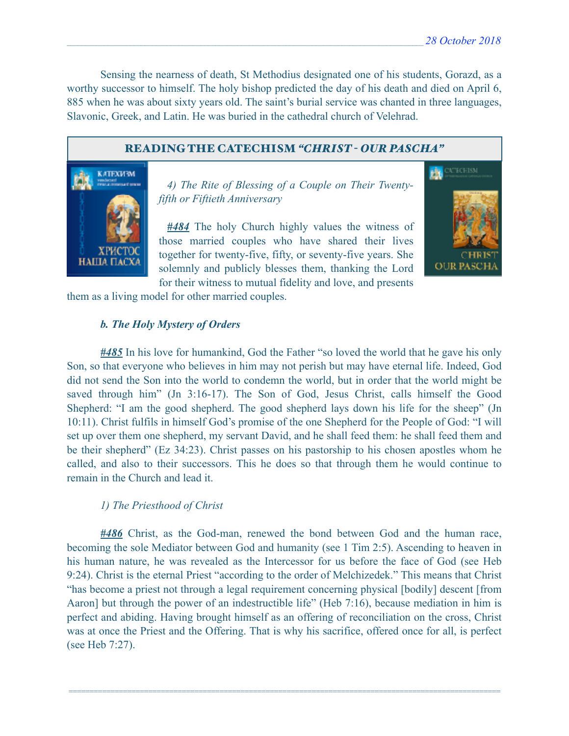Sensing the nearness of death, St Methodius designated one of his students, Gorazd, as a worthy successor to himself. The holy bishop predicted the day of his death and died on April 6, 885 when he was about sixty years old. The saint's burial service was chanted in three languages, Slavonic, Greek, and Latin. He was buried in the cathedral church of Velehrad.

#### READING THE CATECHISM *"CHRIST - OUR PASCHA"*



 *4) The Rite of Blessing of a Couple on Their Twentyfifth or Fiftieth Anniversary* 

*#484* The holy Church highly values the witness of those married couples who have shared their lives together for twenty-five, fifty, or seventy-five years. She solemnly and publicly blesses them, thanking the Lord for their witness to mutual fidelity and love, and presents



them as a living model for other married couples.

#### *b. The Holy Mystery of Orders*

*#485* In his love for humankind, God the Father "so loved the world that he gave his only Son, so that everyone who believes in him may not perish but may have eternal life. Indeed, God did not send the Son into the world to condemn the world, but in order that the world might be saved through him" (Jn 3:16-17). The Son of God, Jesus Christ, calls himself the Good Shepherd: "I am the good shepherd. The good shepherd lays down his life for the sheep" (Jn 10:11). Christ fulfils in himself God's promise of the one Shepherd for the People of God: "I will set up over them one shepherd, my servant David, and he shall feed them: he shall feed them and be their shepherd" (Ez 34:23). Christ passes on his pastorship to his chosen apostles whom he called, and also to their successors. This he does so that through them he would continue to remain in the Church and lead it.

#### *1) The Priesthood of Christ*

*#486* Christ, as the God-man, renewed the bond between God and the human race, becoming the sole Mediator between God and humanity (see 1 Tim 2:5). Ascending to heaven in his human nature, he was revealed as the Intercessor for us before the face of God (see Heb 9:24). Christ is the eternal Priest "according to the order of Melchizedek." This means that Christ "has become a priest not through a legal requirement concerning physical [bodily] descent [from Aaron] but through the power of an indestructible life" (Heb 7:16), because mediation in him is perfect and abiding. Having brought himself as an offering of reconciliation on the cross, Christ was at once the Priest and the Offering. That is why his sacrifice, offered once for all, is perfect (see Heb 7:27).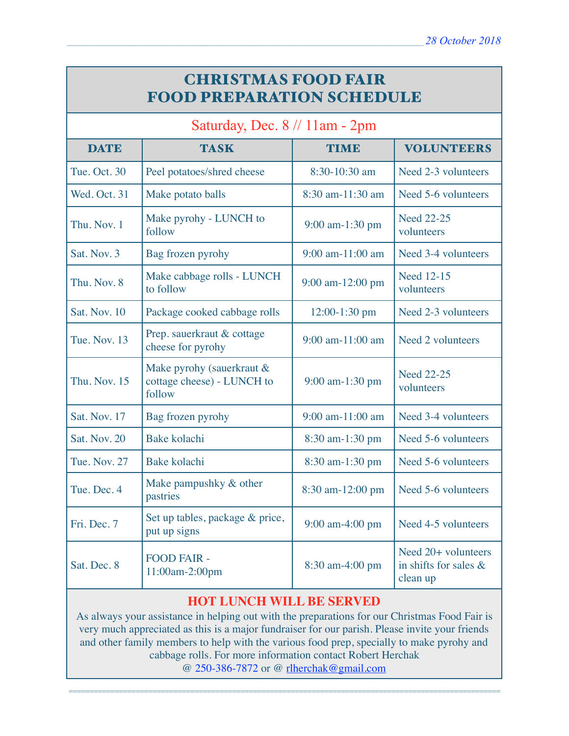# CHRISTMAS FOOD FAIR FOOD PREPARATION SCHEDULE

# Saturday, Dec. 8 // 11am - 2pm

| <b>DATE</b>         | <b>TASK</b>                                                       | <b>TIME</b>      | <b>VOLUNTEERS</b>                                        |  |  |  |
|---------------------|-------------------------------------------------------------------|------------------|----------------------------------------------------------|--|--|--|
| Tue. Oct. 30        | Peel potatoes/shred cheese                                        | 8:30-10:30 am    | Need 2-3 volunteers                                      |  |  |  |
| Wed. Oct. 31        | Make potato balls                                                 | 8:30 am-11:30 am | Need 5-6 volunteers                                      |  |  |  |
| Thu. Nov. 1         | Make pyrohy - LUNCH to<br>follow                                  | 9:00 am-1:30 pm  | <b>Need 22-25</b><br>volunteers                          |  |  |  |
| Sat. Nov. 3         | Bag frozen pyrohy                                                 | 9:00 am-11:00 am | Need 3-4 volunteers                                      |  |  |  |
| Thu. Nov. 8         | Make cabbage rolls - LUNCH<br>to follow                           | 9:00 am-12:00 pm | <b>Need 12-15</b><br>volunteers                          |  |  |  |
| Sat. Nov. 10        | Package cooked cabbage rolls                                      | $12:00-1:30$ pm  | Need 2-3 volunteers                                      |  |  |  |
| <b>Tue. Nov. 13</b> | Prep. sauerkraut & cottage<br>cheese for pyrohy                   | 9:00 am-11:00 am | Need 2 volunteers                                        |  |  |  |
| Thu. Nov. 15        | Make pyrohy (sauerkraut &<br>cottage cheese) - LUNCH to<br>follow | 9:00 am-1:30 pm  | <b>Need 22-25</b><br>volunteers                          |  |  |  |
| Sat. Nov. 17        | Bag frozen pyrohy                                                 | 9:00 am-11:00 am | Need 3-4 volunteers                                      |  |  |  |
| Sat. Nov. 20        | Bake kolachi                                                      | 8:30 am-1:30 pm  | Need 5-6 volunteers                                      |  |  |  |
| <b>Tue. Nov. 27</b> | Bake kolachi                                                      | 8:30 am-1:30 pm  | Need 5-6 volunteers                                      |  |  |  |
| Tue. Dec. 4         | Make pampushky & other<br>pastries                                | 8:30 am-12:00 pm | Need 5-6 volunteers                                      |  |  |  |
| Fri. Dec. 7         | Set up tables, package & price,<br>put up signs                   | 9:00 am-4:00 pm  | Need 4-5 volunteers                                      |  |  |  |
| Sat. Dec. 8         | <b>FOOD FAIR -</b><br>11:00am-2:00pm                              | 8:30 am-4:00 pm  | Need 20+ volunteers<br>in shifts for sales &<br>clean up |  |  |  |

## **HOT LUNCH WILL BE SERVED**

As always your assistance in helping out with the preparations for our Christmas Food Fair is very much appreciated as this is a major fundraiser for our parish. Please invite your friends and other family members to help with the various food prep, specially to make pyrohy and cabbage rolls. For more information contact Robert Herchak

@ 250-386-7872 or @ [rlherchak@gmail.com](mailto:rlherchak@gmail.com)